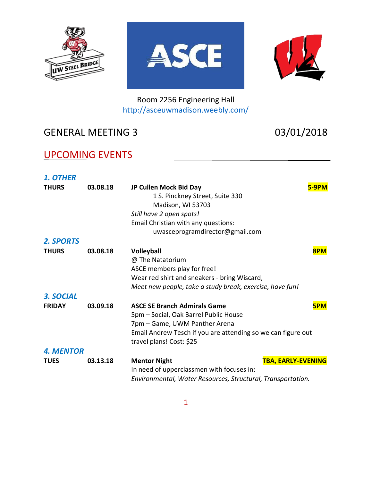





Room 2256 Engineering Hall <http://asceuwmadison.weebly.com/>

## GENERAL MEETING 3 03/01/2018

### UPCOMING EVENTS

| <b>1. OTHER</b>  |          |                                                                                                                                                                                                           |     |
|------------------|----------|-----------------------------------------------------------------------------------------------------------------------------------------------------------------------------------------------------------|-----|
| <b>THURS</b>     | 03.08.18 | JP Cullen Mock Bid Day<br>1 S. Pinckney Street, Suite 330<br>Madison, WI 53703<br>Still have 2 open spots!                                                                                                |     |
|                  |          | Email Christian with any questions:                                                                                                                                                                       |     |
|                  |          | uwasceprogramdirector@gmail.com                                                                                                                                                                           |     |
| <b>2. SPORTS</b> |          |                                                                                                                                                                                                           |     |
| <b>THURS</b>     | 03.08.18 | Volleyball<br>@ The Natatorium<br>ASCE members play for free!<br>Wear red shirt and sneakers - bring Wiscard,<br>Meet new people, take a study break, exercise, have fun!                                 | 8PM |
| 3. SOCIAL        |          |                                                                                                                                                                                                           |     |
| <b>FRIDAY</b>    | 03.09.18 | <b>ASCE SE Branch Admirals Game</b><br>5pm - Social, Oak Barrel Public House<br>7pm - Game, UWM Panther Arena<br>Email Andrew Tesch if you are attending so we can figure out<br>travel plans! Cost: \$25 | 5PM |
| <b>4. MENTOR</b> |          |                                                                                                                                                                                                           |     |
| <b>TUES</b>      | 03.13.18 | <b>TBA, EARLY-EVENING</b><br><b>Mentor Night</b><br>In need of upperclassmen with focuses in:<br>Environmental, Water Resources, Structural, Transportation.                                              |     |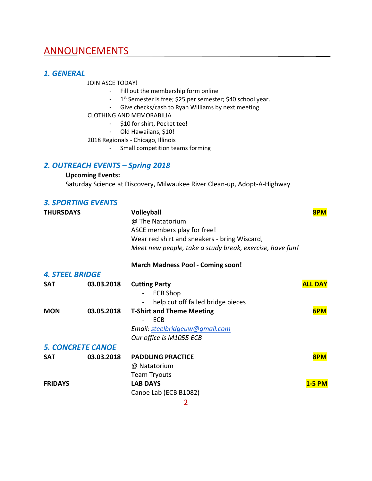### **ANNOUNCEMENTS**

#### *1. GENERAL*

JOIN ASCE TODAY!

- Fill out the membership form online
- 1<sup>st</sup> Semester is free; \$25 per semester; \$40 school year.
- Give checks/cash to Ryan Williams by next meeting.
- CLOTHING AND MEMORABILIA
	- \$10 for shirt, Pocket tee!
	- Old Hawaiians, \$10!

2018 Regionals - Chicago, Illinois

- Small competition teams forming

### *2. OUTREACH EVENTS – Spring 2018*

#### **Upcoming Events:**

Saturday Science at Discovery, Milwaukee River Clean-up, Adopt-A-Highway

### *3. SPORTING EVENTS*

| <b>THURSDAYS</b>         |            | <b>Volleyball</b><br>@ The Natatorium<br>ASCE members play for free!<br>Wear red shirt and sneakers - bring Wiscard, | 8PM            |
|--------------------------|------------|----------------------------------------------------------------------------------------------------------------------|----------------|
|                          |            | Meet new people, take a study break, exercise, have fun!                                                             |                |
|                          |            | <b>March Madness Pool - Coming soon!</b>                                                                             |                |
| <b>4. STEEL BRIDGE</b>   |            |                                                                                                                      |                |
| <b>SAT</b>               | 03.03.2018 | <b>Cutting Party</b><br><b>ECB Shop</b><br>help cut off failed bridge pieces                                         | <b>ALL DAY</b> |
| <b>MON</b>               | 03.05.2018 | <b>T-Shirt and Theme Meeting</b><br>ECB<br>Email: steelbridgeuw@gmail.com<br>Our office is M1055 ECB                 | 6PM            |
| <b>5. CONCRETE CANOE</b> |            |                                                                                                                      |                |
| <b>SAT</b>               | 03.03.2018 | <b>PADDLING PRACTICE</b><br>@ Natatorium<br><b>Team Tryouts</b>                                                      | 8PM            |
| <b>FRIDAYS</b>           |            | <b>LAB DAYS</b><br>Canoe Lab (ECB B1082)                                                                             | <b>1-5 PM</b>  |